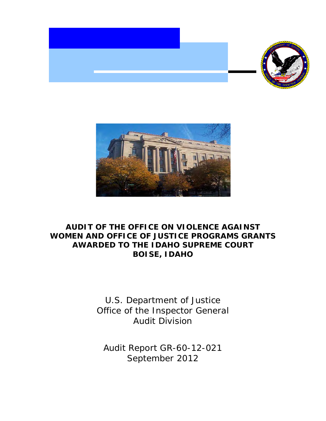



# **AUDIT OF THE OFFICE ON VIOLENCE AGAINST WOMEN AND OFFICE OF JUSTICE PROGRAMS GRANTS AWARDED TO THE IDAHO SUPREME COURT BOISE, IDAHO**

U.S. Department of Justice Office of the Inspector General Audit Division

Audit Report GR-60-12-021 September 2012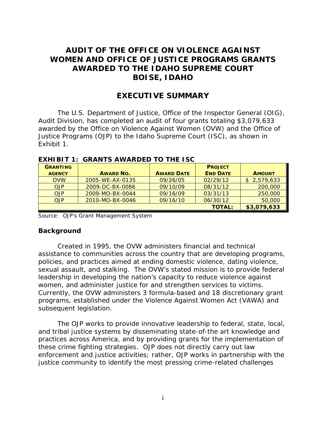# **AUDIT OF THE OFFICE ON VIOLENCE AGAINST WOMEN AND OFFICE OF JUSTICE PROGRAMS GRANTS AWARDED TO THE IDAHO SUPREME COURT BOISE, IDAHO**

# **EXECUTIVE SUMMARY**

The U.S. Department of Justice, Office of the Inspector General (OIG), Audit Division, has completed an audit of four grants totaling \$3,079,633 awarded by the Office on Violence Against Women (OVW) and the Office of Justice Programs (OJP) to the Idaho Supreme Court (ISC), as shown in Exhibit 1.

| <b>GRANTING</b> |                  |                   | <b>PROJECT</b>  |               |
|-----------------|------------------|-------------------|-----------------|---------------|
| <b>AGENCY</b>   | <b>AWARD NO.</b> | <b>AWARD DATE</b> | <b>END DATE</b> | <b>AMOUNT</b> |
| <b>OVW</b>      | 2005-WE-AX-0135  | 09/26/05          | 02/29/12        | \$2,579,633   |
| <b>OJP</b>      | 2009-DC-BX-0086  | 09/10/09          | 08/31/12        | 200,000       |
| <b>OJP</b>      | 2009-MO-BX-0044  | 09/16/09          | 03/31/13        | 250,000       |
| <b>OJP</b>      | 2010-MO-BX-0046  | 09/16/10          | 06/30/12        | 50,000        |
|                 |                  |                   | <b>TOTAL:</b>   | \$3,079,633   |

**EXHIBIT 1: GRANTS AWARDED TO THE ISC** 

Source: OJP's Grant Management System

### **Background**

Created in 1995, the OVW administers financial and technical assistance to communities across the country that are developing programs, policies, and practices aimed at ending domestic violence, dating violence, sexual assault, and stalking. The OVW's stated mission is to provide federal leadership in developing the nation's capacity to reduce violence against women, and administer justice for and strengthen services to victims. Currently, the OVW administers 3 formula-based and 18 discretionary grant programs, established under the *Violence Against Women Act* (VAWA) and subsequent legislation.

The OJP works to provide innovative leadership to federal, state, local, and tribal justice systems by disseminating state-of-the art knowledge and practices across America, and by providing grants for the implementation of these crime fighting strategies. OJP does not directly carry out law enforcement and justice activities; rather, OJP works in partnership with the justice community to identify the most pressing crime-related challenges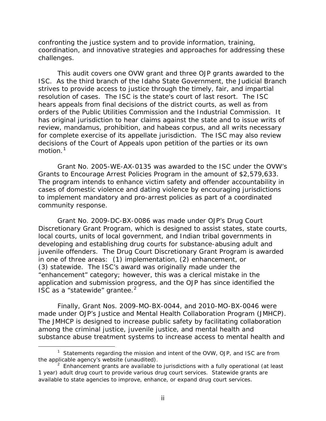confronting the justice system and to provide information, training, coordination, and innovative strategies and approaches for addressing these challenges.

This audit covers one OVW grant and three OJP grants awarded to the ISC. As the third branch of the Idaho State Government, the Judicial Branch strives to provide access to justice through the timely, fair, and impartial resolution of cases. The ISC is the state's court of last resort. The ISC hears appeals from final decisions of the district courts, as well as from orders of the Public Utilities Commission and the Industrial Commission. It has original jurisdiction to hear claims against the state and to issue writs of review, mandamus, prohibition, and habeas corpus, and all writs necessary for complete exercise of its appellate jurisdiction. The ISC may also review decisions of the Court of Appeals upon petition of the parties or its own motion.<sup>[1](#page-2-0)</sup>

Grant No. 2005-WE-AX-0135 was awarded to the ISC under the OVW's Grants to Encourage Arrest Policies Program in the amount of \$2,579,633. The program intends to enhance victim safety and offender accountability in cases of domestic violence and dating violence by encouraging jurisdictions to implement mandatory and pro-arrest policies as part of a coordinated community response.

Grant No. 2009-DC-BX-0086 was made under OJP's Drug Court Discretionary Grant Program, which is designed to assist states, state courts, local courts, units of local government, and Indian tribal governments in developing and establishing drug courts for substance-abusing adult and juvenile offenders. The Drug Court Discretionary Grant Program is awarded in one of three areas: (1) implementation, (2) enhancement, or (3) statewide. The ISC's award was originally made under the "enhancement" category; however, this was a clerical mistake in the application and submission progress, and the OJP has since identified the ISC as a "statewide" grantee.<sup>[2](#page-2-1)</sup>

Finally, Grant Nos. 2009-MO-BX-0044, and 2010-MO-BX-0046 were made under OJP's Justice and Mental Health Collaboration Program (JMHCP). The JMHCP is designed to increase public safety by facilitating collaboration among the criminal justice, juvenile justice, and mental health and substance abuse treatment systems to increase access to mental health and

<span id="page-2-0"></span> $\overline{\phantom{a}}$ <sup>1</sup> Statements regarding the mission and intent of the OVW, OJP, and ISC are from the applicable agency's website (unaudited).

<span id="page-2-1"></span> $2$  Enhancement grants are available to jurisdictions with a fully operational (at least 1 year) adult drug court to provide various drug court services. Statewide grants are available to state agencies to improve, enhance, or expand drug court services.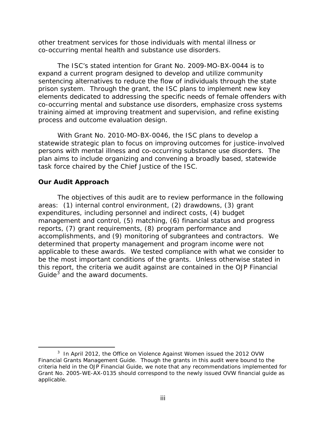other treatment services for those individuals with mental illness or co-occurring mental health and substance use disorders.

The ISC's stated intention for Grant No. 2009-MO-BX-0044 is to expand a current program designed to develop and utilize community sentencing alternatives to reduce the flow of individuals through the state prison system. Through the grant, the ISC plans to implement new key elements dedicated to addressing the specific needs of female offenders with co-occurring mental and substance use disorders, emphasize cross systems training aimed at improving treatment and supervision, and refine existing process and outcome evaluation design.

With Grant No. 2010-MO-BX-0046, the ISC plans to develop a statewide strategic plan to focus on improving outcomes for justice-involved persons with mental illness and co-occurring substance use disorders. The plan aims to include organizing and convening a broadly based, statewide task force chaired by the Chief Justice of the ISC.

# **Our Audit Approach**

The objectives of this audit are to review performance in the following areas: (1) internal control environment, (2) drawdowns, (3) grant expenditures, including personnel and indirect costs, (4) budget management and control, (5) matching, (6) financial status and progress reports, (7) grant requirements, (8) program performance and accomplishments, and (9) monitoring of subgrantees and contractors. We determined that property management and program income were not applicable to these awards. We tested compliance with what we consider to be the most important conditions of the grants. Unless otherwise stated in this report, the criteria we audit against are contained in the *OJP Financial Guide[3](#page-3-0)* and the award documents.

<span id="page-3-0"></span> $\frac{1}{3}$ <sup>3</sup> In April 2012, the Office on Violence Against Women issued the 2012 OVW *Financial Grants Management Guide*. Though the grants in this audit were bound to the criteria held in the *OJP Financial Guide*, we note that any recommendations implemented for Grant No. 2005-WE-AX-0135 should correspond to the newly issued OVW financial guide as applicable.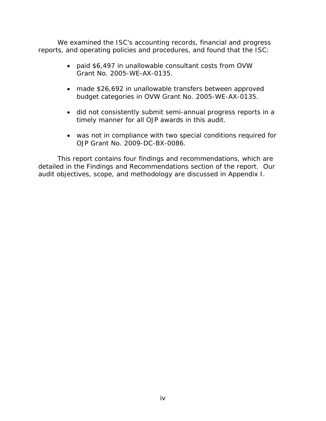We examined the ISC's accounting records, financial and progress reports, and operating policies and procedures, and found that the ISC:

- paid \$6,497 in unallowable consultant costs from OVW Grant No. 2005-WE-AX-0135.
- made \$26,692 in unallowable transfers between approved budget categories in OVW Grant No. 2005-WE-AX-0135.
- did not consistently submit semi-annual progress reports in a timely manner for all OJP awards in this audit.
- was not in compliance with two special conditions required for OJP Grant No. 2009-DC-BX-0086.

This report contains four findings and recommendations, which are detailed in the Findings and Recommendations section of the report. Our audit objectives, scope, and methodology are discussed in Appendix I.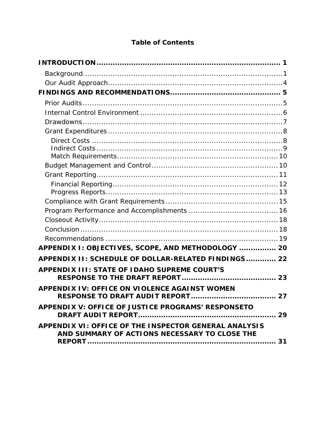# **Table of Contents**

| APPENDIX I: OBJECTIVES, SCOPE, AND METHODOLOGY  20                                                            |    |
|---------------------------------------------------------------------------------------------------------------|----|
| APPENDIX II: SCHEDULE OF DOLLAR-RELATED FINDINGS 22                                                           |    |
| <b>APPENDIX III: STATE OF IDAHO SUPREME COURT'S</b>                                                           |    |
|                                                                                                               |    |
| <b>APPENDIX IV: OFFICE ON VIOLENCE AGAINST WOMEN</b>                                                          |    |
| <b>RESPONSE TO DRAFT AUDIT REPORT</b>                                                                         | 27 |
| APPENDIX V: OFFICE OF JUSTICE PROGRAMS' RESPONSETO                                                            |    |
| <b>APPENDIX VI: OFFICE OF THE INSPECTOR GENERAL ANALYSIS</b><br>AND SUMMARY OF ACTIONS NECESSARY TO CLOSE THE |    |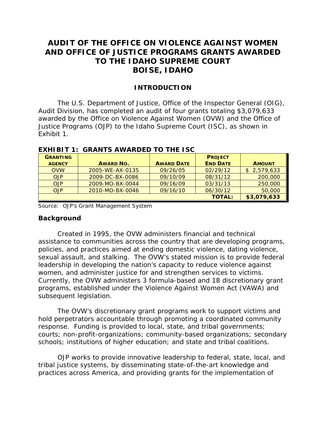# **AUDIT OF THE OFFICE ON VIOLENCE AGAINST WOMEN AND OFFICE OF JUSTICE PROGRAMS GRANTS AWARDED TO THE IDAHO SUPREME COURT BOISE, IDAHO**

#### **INTRODUCTION**

<span id="page-6-0"></span>The U.S. Department of Justice, Office of the Inspector General (OIG), Audit Division, has completed an audit of four grants totaling \$3,079,633 awarded by the Office on Violence Against Women (OVW) and the Office of Justice Programs (OJP) to the Idaho Supreme Court (ISC), as shown in Exhibit 1.

| <b>GRANTING</b> |                  |                   | <b>PROJECT</b>  |               |
|-----------------|------------------|-------------------|-----------------|---------------|
| <b>AGENCY</b>   | <b>AWARD NO.</b> | <b>AWARD DATE</b> | <b>END DATE</b> | <b>AMOUNT</b> |
| <b>OVW</b>      | 2005-WE-AX-0135  | 09/26/05          | 02/29/12        | \$2,579,633   |
| <b>OJP</b>      | 2009-DC-BX-0086  | 09/10/09          | 08/31/12        | 200,000       |
| <b>OJP</b>      | 2009-MO-BX-0044  | 09/16/09          | 03/31/13        | 250,000       |
| <b>OJP</b>      | 2010-MO-BX-0046  | 09/16/10          | 06/30/12        | 50,000        |
|                 |                  |                   | <b>TOTAL:</b>   | \$3,079,633   |

#### **EXHIBIT 1: GRANTS AWARDED TO THE ISC**

<span id="page-6-1"></span>Source: OJP's Grant Management System

#### **Background**

Created in 1995, the OVW administers financial and technical assistance to communities across the country that are developing programs, policies, and practices aimed at ending domestic violence, dating violence, sexual assault, and stalking. The OVW's stated mission is to provide federal leadership in developing the nation's capacity to reduce violence against women, and administer justice for and strengthen services to victims. Currently, the OVW administers 3 formula-based and 18 discretionary grant programs, established under the Violence Against Women Act (VAWA) and subsequent legislation.

The OVW's discretionary grant programs work to support victims and hold perpetrators accountable through promoting a coordinated community response. Funding is provided to local, state, and tribal governments; courts; non-profit-organizations; community-based organizations; secondary schools; institutions of higher education; and state and tribal coalitions.

OJP works to provide innovative leadership to federal, state, local, and tribal justice systems, by disseminating state-of-the-art knowledge and practices across America, and providing grants for the implementation of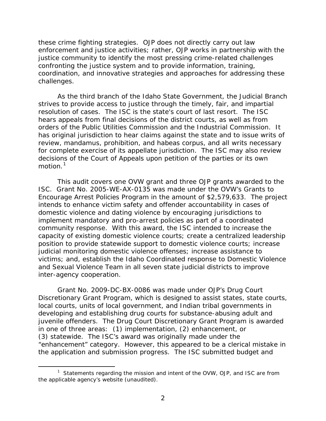these crime fighting strategies. OJP does not directly carry out law enforcement and justice activities; rather, OJP works in partnership with the justice community to identify the most pressing crime-related challenges confronting the justice system and to provide information, training, coordination, and innovative strategies and approaches for addressing these challenges.

As the third branch of the Idaho State Government, the Judicial Branch strives to provide access to justice through the timely, fair, and impartial resolution of cases. The ISC is the state's court of last resort. The ISC hears appeals from final decisions of the district courts, as well as from orders of the Public Utilities Commission and the Industrial Commission. It has original jurisdiction to hear claims against the state and to issue writs of review, mandamus, prohibition, and habeas corpus, and all writs necessary for complete exercise of its appellate jurisdiction. The ISC may also review decisions of the Court of Appeals upon petition of the parties or its own motion.<sup>[1](#page-7-0)</sup>

This audit covers one OVW grant and three OJP grants awarded to the ISC. Grant No. 2005-WE-AX-0135 was made under the OVW's Grants to Encourage Arrest Policies Program in the amount of \$2,579,633. The project intends to enhance victim safety and offender accountability in cases of domestic violence and dating violence by encouraging jurisdictions to implement mandatory and pro-arrest policies as part of a coordinated community response. With this award, the ISC intended to increase the capacity of existing domestic violence courts; create a centralized leadership position to provide statewide support to domestic violence courts; increase judicial monitoring domestic violence offenses; increase assistance to victims; and, establish the Idaho Coordinated response to Domestic Violence and Sexual Violence Team in all seven state judicial districts to improve inter-agency cooperation.

Grant No. 2009-DC-BX-0086 was made under OJP's Drug Court Discretionary Grant Program, which is designed to assist states, state courts, local courts, units of local government, and Indian tribal governments in developing and establishing drug courts for substance-abusing adult and juvenile offenders. The Drug Court Discretionary Grant Program is awarded in one of three areas: (1) implementation, (2) enhancement, or (3) statewide. The ISC's award was originally made under the "enhancement" category. However, this appeared to be a clerical mistake in the application and submission progress. The ISC submitted budget and

<span id="page-7-0"></span> $\overline{\phantom{a}}$  1 <sup>1</sup> Statements regarding the mission and intent of the OVW, OJP, and ISC are from the applicable agency's website (unaudited).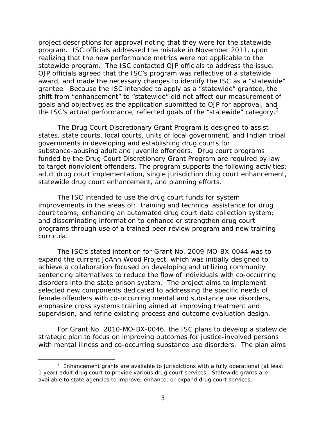project descriptions for approval noting that they were for the statewide program. ISC officials addressed the mistake in November 2011, upon realizing that the new performance metrics were not applicable to the statewide program. The ISC contacted OJP officials to address the issue. OJP officials agreed that the ISC's program was reflective of a statewide award, and made the necessary changes to identify the ISC as a "statewide" grantee. Because the ISC intended to apply as a "statewide" grantee, the shift from "enhancement" to "statewide" did not affect our measurement of goals and objectives as the application submitted to OJP for approval, and the ISC's actual performance, reflected goals of the "statewide" category. $2$ 

The Drug Court Discretionary Grant Program is designed to assist states, state courts, local courts, units of local government, and Indian tribal governments in developing and establishing drug courts for substance-abusing adult and juvenile offenders. Drug court programs funded by the Drug Court Discretionary Grant Program are required by law to target nonviolent offenders. The program supports the following activities: adult drug court implementation, single jurisdiction drug court enhancement, statewide drug court enhancement, and planning efforts.

The ISC intended to use the drug court funds for system improvements in the areas of: training and technical assistance for drug court teams; enhancing an automated drug court data collection system; and disseminating information to enhance or strengthen drug court programs through use of a trained-peer review program and new training curricula.

The ISC's stated intention for Grant No. 2009-MO-BX-0044 was to expand the current JoAnn Wood Project, which was initially designed to achieve a collaboration focused on developing and utilizing community sentencing alternatives to reduce the flow of individuals with co-occurring disorders into the state prison system. The project aims to implement selected new components dedicated to addressing the specific needs of female offenders with co-occurring mental and substance use disorders, emphasize cross systems training aimed at improving treatment and supervision, and refine existing process and outcome evaluation design.

For Grant No. 2010-MO-BX-0046, the ISC plans to develop a statewide strategic plan to focus on improving outcomes for justice-involved persons with mental illness and co-occurring substance use disorders. The plan aims

<span id="page-8-0"></span> $\overline{\phantom{a}}$  2  $2$  Enhancement grants are available to jurisdictions with a fully operational (at least 1 year) adult drug court to provide various drug court services. Statewide grants are available to state agencies to improve, enhance, or expand drug court services.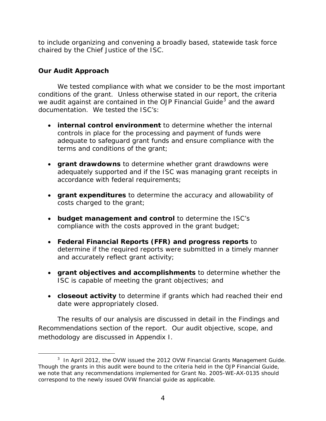to include organizing and convening a broadly based, statewide task force chaired by the Chief Justice of the ISC.

# <span id="page-9-0"></span>**Our Audit Approach**

We tested compliance with what we consider to be the most important conditions of the grant. Unless otherwise stated in our report, the criteria we audit against are contained in the *OJP Financial Guide[3](#page-9-1)* and the award documentation. We tested the ISC's:

- **internal control environment** to determine whether the internal controls in place for the processing and payment of funds were adequate to safeguard grant funds and ensure compliance with the terms and conditions of the grant;
- **grant drawdowns** to determine whether grant drawdowns were adequately supported and if the ISC was managing grant receipts in accordance with federal requirements;
- **grant expenditures** to determine the accuracy and allowability of costs charged to the grant;
- **budget management and control** to determine the ISC's compliance with the costs approved in the grant budget;
- **Federal Financial Reports (FFR) and progress reports** to determine if the required reports were submitted in a timely manner and accurately reflect grant activity;
- **grant objectives and accomplishments** to determine whether the ISC is capable of meeting the grant objectives; and
- **closeout activity** to determine if grants which had reached their end date were appropriately closed.

The results of our analysis are discussed in detail in the Findings and Recommendations section of the report. Our audit objective, scope, and methodology are discussed in Appendix I.

<span id="page-9-1"></span> $\frac{1}{3}$  In April 2012, the OVW issued the *2012 OVW Financial Grants Management Guide*. Though the grants in this audit were bound to the criteria held in the *OJP Financial Guide*, we note that any recommendations implemented for Grant No. 2005-WE-AX-0135 should correspond to the newly issued OVW financial guide as applicable.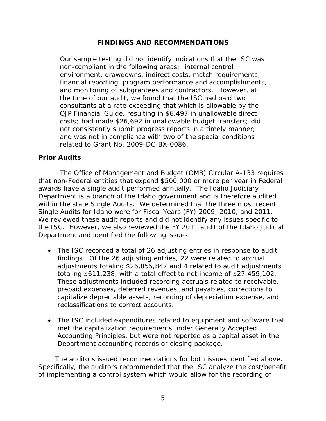# **FINDINGS AND RECOMMENDATIONS**

<span id="page-10-0"></span>Our sample testing did not identify indications that the ISC was non-compliant in the following areas: internal control environment, drawdowns, indirect costs, match requirements, financial reporting, program performance and accomplishments, and monitoring of subgrantees and contractors. However, at the time of our audit, we found that the ISC had paid two consultants at a rate exceeding that which is allowable by the *OJP Financial Guide*, resulting in \$6,497 in unallowable direct costs; had made \$26,692 in unallowable budget transfers; did not consistently submit progress reports in a timely manner; and was not in compliance with two of the special conditions related to Grant No. 2009-DC-BX-0086.

# <span id="page-10-1"></span>**Prior Audits**

The *Office of Management and Budget (OMB) Circular A-133* requires that non-Federal entities that expend \$500,000 or more per year in Federal awards have a single audit performed annually. The Idaho Judiciary Department is a branch of the Idaho government and is therefore audited within the state Single Audits. We determined that the three most recent Single Audits for Idaho were for Fiscal Years (FY) 2009, 2010, and 2011. We reviewed these audit reports and did not identify any issues specific to the ISC. However, we also reviewed the FY 2011 audit of the Idaho Judicial Department and identified the following issues:

- The ISC recorded a total of 26 adjusting entries in response to audit findings. Of the 26 adjusting entries, 22 were related to accrual adjustments totaling \$26,855,847 and 4 related to audit adjustments totaling \$611,238, with a total effect to net income of \$27,459,102. These adjustments included recording accruals related to receivable, prepaid expenses, deferred revenues, and payables, corrections to capitalize depreciable assets, recording of depreciation expense, and reclassifications to correct accounts.
- The ISC included expenditures related to equipment and software that met the capitalization requirements under Generally Accepted Accounting Principles, but were not reported as a capital asset in the Department accounting records or closing package.

The auditors issued recommendations for both issues identified above. Specifically, the auditors recommended that the ISC analyze the cost/benefit of implementing a control system which would allow for the recording of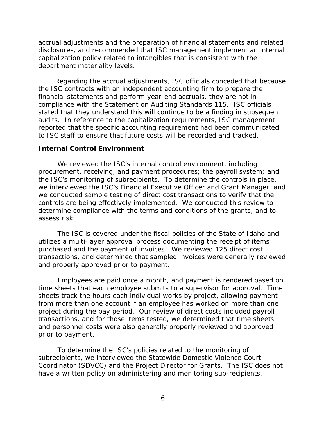accrual adjustments and the preparation of financial statements and related disclosures, and recommended that ISC management implement an internal capitalization policy related to intangibles that is consistent with the department materiality levels.

Regarding the accrual adjustments, ISC officials conceded that because the ISC contracts with an independent accounting firm to prepare the financial statements and perform year-end accruals, they are not in compliance with the *Statement on Auditing Standards 115*. ISC officials stated that they understand this will continue to be a finding in subsequent audits. In reference to the capitalization requirements, ISC management reported that the specific accounting requirement had been communicated to ISC staff to ensure that future costs will be recorded and tracked.

#### <span id="page-11-0"></span>**Internal Control Environment**

We reviewed the ISC's internal control environment, including procurement, receiving, and payment procedures; the payroll system; and the ISC's monitoring of subrecipients. To determine the controls in place, we interviewed the ISC's Financial Executive Officer and Grant Manager, and we conducted sample testing of direct cost transactions to verify that the controls are being effectively implemented. We conducted this review to determine compliance with the terms and conditions of the grants, and to assess risk.

The ISC is covered under the fiscal policies of the State of Idaho and utilizes a multi-layer approval process documenting the receipt of items purchased and the payment of invoices. We reviewed 125 direct cost transactions, and determined that sampled invoices were generally reviewed and properly approved prior to payment.

Employees are paid once a month, and payment is rendered based on time sheets that each employee submits to a supervisor for approval. Time sheets track the hours each individual works by project, allowing payment from more than one account if an employee has worked on more than one project during the pay period. Our review of direct costs included payroll transactions, and for those items tested, we determined that time sheets and personnel costs were also generally properly reviewed and approved prior to payment.

To determine the ISC's policies related to the monitoring of subrecipients, we interviewed the Statewide Domestic Violence Court Coordinator (SDVCC) and the Project Director for Grants. The ISC does not have a written policy on administering and monitoring sub-recipients,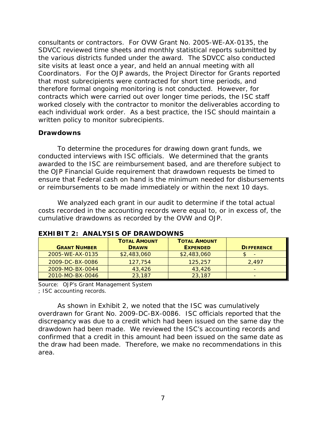consultants or contractors. For OVW Grant No. 2005-WE-AX-0135, the SDVCC reviewed time sheets and monthly statistical reports submitted by the various districts funded under the award. The SDVCC also conducted site visits at least once a year, and held an annual meeting with all Coordinators. For the OJP awards, the Project Director for Grants reported that most subrecipients were contracted for short time periods, and therefore formal ongoing monitoring is not conducted. However, for contracts which were carried out over longer time periods, the ISC staff worked closely with the contractor to monitor the deliverables according to each individual work order. As a best practice, the ISC should maintain a written policy to monitor subrecipients.

### <span id="page-12-0"></span>**Drawdowns**

To determine the procedures for drawing down grant funds, we conducted interviews with ISC officials. We determined that the grants awarded to the ISC are reimbursement based, and are therefore subject to the *OJP Financial Guide* requirement that drawdown requests be timed to ensure that Federal cash on hand is the minimum needed for disbursements or reimbursements to be made immediately or within the next 10 days.

We analyzed each grant in our audit to determine if the total actual costs recorded in the accounting records were equal to, or in excess of, the cumulative drawdowns as recorded by the OVW and OJP.

|                     | <b>TOTAL AMOUNT</b> | <b>TOTAL AMOUNT</b> |                   |
|---------------------|---------------------|---------------------|-------------------|
| <b>GRANT NUMBER</b> | <b>DRAWN</b>        | <b>EXPENDED</b>     | <b>DIFFERENCE</b> |
| 2005-WE-AX-0135     | \$2,483,060         | \$2,483,060         |                   |
| 2009-DC-BX-0086     | 127,754             | 125,257             | 2.497             |
| 2009-MO-BX-0044     | 43,426              | 43,426              |                   |
| 2010-MO-BX-0046     | 23,187              | 23,187              |                   |

#### **EXHIBIT 2: ANALYSIS OF DRAWDOWNS**

Source: OJP's Grant Management System

; ISC accounting records.

As shown in Exhibit 2, we noted that the ISC was cumulatively overdrawn for Grant No. 2009-DC-BX-0086. ISC officials reported that the discrepancy was due to a credit which had been issued on the same day the drawdown had been made. We reviewed the ISC's accounting records and confirmed that a credit in this amount had been issued on the same date as the draw had been made. Therefore, we make no recommendations in this area.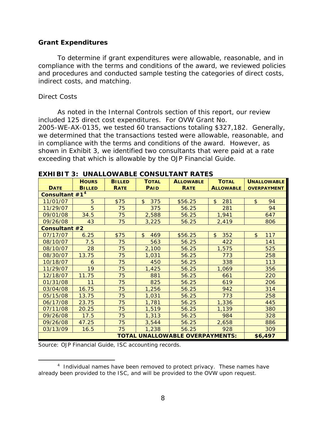### <span id="page-13-0"></span>**Grant Expenditures**

To determine if grant expenditures were allowable, reasonable, and in compliance with the terms and conditions of the award, we reviewed policies and procedures and conducted sample testing the categories of direct costs, indirect costs, and matching.

### <span id="page-13-1"></span>*Direct Costs*

As noted in the Internal Controls section of this report, our review included 125 direct cost expenditures. For OVW Grant No. 2005-WE-AX-0135, we tested 60 transactions totaling \$327,182. Generally, we determined that the transactions tested were allowable, reasonable, and in compliance with the terms and conditions of the award. However, as shown in Exhibit 3, we identified two consultants that were paid at a rate exceeding that which is allowable by the *OJP Financial Guide*.

|                                                   | EANIDI I 3. UNALLOWADLE CONSULTANT RATES |               |                      |                  |                       |                      |  |
|---------------------------------------------------|------------------------------------------|---------------|----------------------|------------------|-----------------------|----------------------|--|
|                                                   | <b>HOURS</b>                             | <b>BILLED</b> | <b>TOTAL</b>         | <b>ALLOWABLE</b> | <b>TOTAL</b>          | <b>UNALLOWABLE</b>   |  |
| <b>DATE</b>                                       | <b>BILLED</b>                            | <b>RATE</b>   | <b>PAID</b>          | <b>RATE</b>      | <b>ALLOWABLE</b>      | <b>OVERPAYMENT</b>   |  |
|                                                   | Consultant #1 <sup>4</sup>               |               |                      |                  |                       |                      |  |
| 11/01/07                                          | 5                                        | \$75          | $\frac{1}{2}$<br>375 | \$56.25          | 281<br>$\frac{1}{2}$  | $\frac{1}{2}$<br>94  |  |
| 11/29/07                                          | 5                                        | 75            | 375                  | 56.25            | 281                   | 94                   |  |
| 09/01/08                                          | 34.5                                     | 75            | 2,588                | 56.25            | 1,941                 | 647                  |  |
| 09/26/08                                          | 43                                       | 75            | 3,225                | 56.25            | 2,419                 | 806                  |  |
| Consultant #2                                     |                                          |               |                      |                  |                       |                      |  |
| 07/17/07                                          | 6.25                                     | \$75          | 469<br>\$            | \$56.25          | 352<br>$\mathfrak{L}$ | $\frac{1}{2}$<br>117 |  |
| 08/10/07                                          | 7.5                                      | 75            | 563                  | 56.25            | 422                   | 141                  |  |
| 08/10/07                                          | 28                                       | 75            | 2,100                | 56.25            | 1,575                 | 525                  |  |
| 08/30/07                                          | 13.75                                    | 75            | 1,031                | 56.25            | 773                   | 258                  |  |
| 10/18/07                                          | 6                                        | 75            | 450                  | 56.25            | 338                   | 113                  |  |
| 11/29/07                                          | 19                                       | 75            | 1,425                | 56.25            | 1,069                 | 356                  |  |
| 12/18/07                                          | 11.75                                    | 75            | 881                  | 56.25            | 661                   | 220                  |  |
| 01/31/08                                          | 11                                       | 75            | 825                  | 56.25            | 619                   | 206                  |  |
| 03/04/08                                          | 16.75                                    | 75            | 1,256                | 56.25            | 942                   | 314                  |  |
| 05/15/08                                          | 13.75                                    | 75            | 1,031                | 56.25            | 773                   | 258                  |  |
| 06/17/08                                          | 23.75                                    | 75            | 1,781                | 56.25            | 1,336                 | 445                  |  |
| 07/11/08                                          | 20.25                                    | 75            | 1,519                | 56.25            | 1,139                 | 380                  |  |
| 09/26/08                                          | 17.5                                     | 75            | 1,313                | 56.25            | 984                   | 328                  |  |
| 09/26/08                                          | 47.25                                    | 75            | 3,544                | 56.25            | 2,658                 | 886                  |  |
| 03/13/09                                          | 16.5                                     | 75            | 1,238                | 56.25            | 928                   | 309                  |  |
| <b>TOTAL UNALLOWABLE OVERPAYMENTS:</b><br>\$6,497 |                                          |               |                      |                  |                       |                      |  |

|  | <b>EXHIBIT 3: UNALLOWABLE CONSULTANT RATES</b> |  |  |
|--|------------------------------------------------|--|--|
|--|------------------------------------------------|--|--|

Source: *OJP Financial Guide*, ISC accounting records.

<span id="page-13-2"></span> $\frac{1}{4}$  $<sup>4</sup>$  Individual names have been removed to protect privacy. These names have</sup> already been provided to the ISC, and will be provided to the OVW upon request.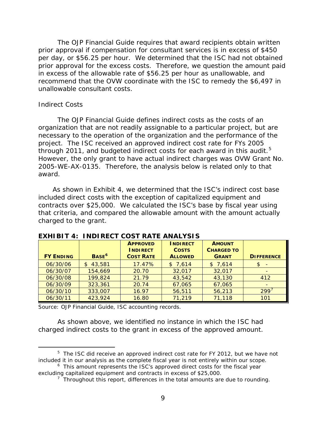The *OJP Financial Guide* requires that award recipients obtain written prior approval if compensation for consultant services is in excess of \$450 per day, or \$56.25 per hour. We determined that the ISC had not obtained prior approval for the excess costs. Therefore, we question the amount paid in excess of the allowable rate of \$56.25 per hour as unallowable, and recommend that the OVW coordinate with the ISC to remedy the \$6,497 in unallowable consultant costs.

#### <span id="page-14-0"></span>*Indirect Costs*

The *OJP Financial Guide* defines indirect costs as the costs of an organization that are not readily assignable to a particular project, but are necessary to the operation of the organization and the performance of the project. The ISC received an approved indirect cost rate for FYs 2005 through 2011, and budgeted indirect costs for each award in this audit.<sup>[5](#page-14-1)</sup> However, the only grant to have actual indirect charges was OVW Grant No. 2005-WE-AX-0135. Therefore, the analysis below is related only to that award.

As shown in Exhibit 4, we determined that the ISC's indirect cost base included direct costs with the exception of capitalized equipment and contracts over \$25,000. We calculated the ISC's base by fiscal year using that criteria, and compared the allowable amount with the amount actually charged to the grant.

| <b>FY ENDING</b> | BASE <sup>6</sup>        | <b>APPROVED</b><br><b>INDIRECT</b><br><b>COST RATE</b> | <b>INDIRECT</b><br><b>COSTS</b><br><b>ALLOWED</b> | <b>AMOUNT</b><br><b>CHARGED TO</b><br><b>GRANT</b> | <b>DIFFERENCE</b> |
|------------------|--------------------------|--------------------------------------------------------|---------------------------------------------------|----------------------------------------------------|-------------------|
| 06/30/06         | 43,581<br>$\mathfrak{L}$ | 17.47%                                                 | \$7,614                                           | \$7,614                                            | \$                |
| 06/30/07         | 154,669                  | 20.70                                                  | 32,017                                            | 32,017                                             |                   |
| 06/30/08         | 199,824                  | 21.79                                                  | 43,542                                            | 43,130                                             | 412               |
| 06/30/09         | 323,361                  | 20.74                                                  | 67,065                                            | 67,065                                             |                   |
| 06/30/10         | 333,007                  | 16.97                                                  | 56,511                                            | 56,213                                             | 299'              |
| 06/30/11         | 423,924                  | 16.80                                                  | 71,219                                            | 71,118                                             | 101               |

#### **EXHIBIT 4: INDIRECT COST RATE ANALYSIS**

Source: *OJP Financial Guide*, ISC accounting records.

As shown above, we identified no instance in which the ISC had charged indirect costs to the grant in excess of the approved amount.

<span id="page-14-1"></span> $\frac{1}{5}$  $5$  The ISC did receive an approved indirect cost rate for FY 2012, but we have not included it in our analysis as the complete fiscal year is not entirely within our scope.

<span id="page-14-3"></span><span id="page-14-2"></span> $6$  This amount represents the ISC's approved direct costs for the fiscal year excluding capitalized equipment and contracts in excess of \$25,000.

 $7$  Throughout this report, differences in the total amounts are due to rounding.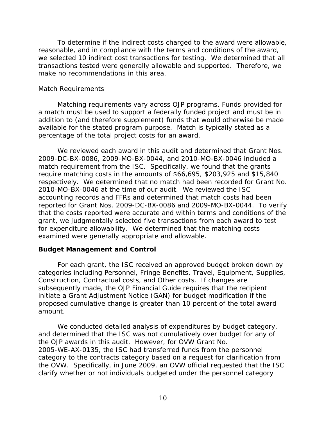To determine if the indirect costs charged to the award were allowable, reasonable, and in compliance with the terms and conditions of the award, we selected 10 indirect cost transactions for testing. We determined that all transactions tested were generally allowable and supported. Therefore, we make no recommendations in this area.

## <span id="page-15-0"></span>*Match Requirements*

Matching requirements vary across OJP programs. Funds provided for a match must be used to support a federally funded project and must be in addition to (and therefore supplement) funds that would otherwise be made available for the stated program purpose. Match is typically stated as a percentage of the total project costs for an award.

We reviewed each award in this audit and determined that Grant Nos. 2009-DC-BX-0086, 2009-MO-BX-0044, and 2010-MO-BX-0046 included a match requirement from the ISC. Specifically, we found that the grants require matching costs in the amounts of \$66,695, \$203,925 and \$15,840 respectively. We determined that no match had been recorded for Grant No. 2010-MO-BX-0046 at the time of our audit. We reviewed the ISC accounting records and FFRs and determined that match costs had been reported for Grant Nos. 2009-DC-BX-0086 and 2009-MO-BX-0044. To verify that the costs reported were accurate and within terms and conditions of the grant, we judgmentally selected five transactions from each award to test for expenditure allowability. We determined that the matching costs examined were generally appropriate and allowable.

# <span id="page-15-1"></span>**Budget Management and Control**

For each grant, the ISC received an approved budget broken down by categories including Personnel, Fringe Benefits, Travel, Equipment, Supplies, Construction, Contractual costs, and Other costs. If changes are subsequently made, the *OJP Financial Guide* requires that the recipient initiate a Grant Adjustment Notice (GAN) for budget modification if the proposed cumulative change is greater than 10 percent of the total award amount.

We conducted detailed analysis of expenditures by budget category, and determined that the ISC was not cumulatively over budget for any of the OJP awards in this audit. However, for OVW Grant No. 2005-WE-AX-0135, the ISC had transferred funds from the personnel category to the contracts category based on a request for clarification from the OVW. Specifically, in June 2009, an OVW official requested that the ISC clarify whether or not individuals budgeted under the personnel category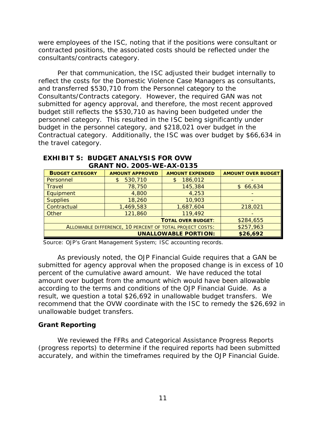were employees of the ISC, noting that if the positions were consultant or contracted positions, the associated costs should be reflected under the consultants/contracts category.

Per that communication, the ISC adjusted their budget internally to reflect the costs for the Domestic Violence Case Managers as consultants, and transferred \$530,710 from the Personnel category to the Consultants/Contracts category. However, the required GAN was not submitted for agency approval, and therefore, the most recent approved budget still reflects the \$530,710 as having been budgeted under the personnel category. This resulted in the ISC being significantly under budget in the personnel category, and \$218,021 over budget in the Contractual category. Additionally, the ISC was over budget by \$66,634 in the travel category.

| <u>URANI NU. ZUUS-WE-AA-UTSS</u>                         |                                         |                        |                           |  |  |
|----------------------------------------------------------|-----------------------------------------|------------------------|---------------------------|--|--|
| <b>BUDGET CATEGORY</b>                                   | <b>AMOUNT APPROVED</b>                  | <b>AMOUNT EXPENDED</b> | <b>AMOUNT OVER BUDGET</b> |  |  |
| Personnel                                                | 530,710<br>S                            | 186,012                |                           |  |  |
| <b>Travel</b>                                            | 78,750                                  | 145,384                | \$66,634                  |  |  |
| Equipment                                                | 4,800                                   | 4,253                  |                           |  |  |
| <b>Supplies</b>                                          | 18,260                                  | 10,903                 |                           |  |  |
| Contractual                                              | 1,469,583                               | 1,687,604              | 218,021                   |  |  |
| Other                                                    | 121,860                                 | 119,492                |                           |  |  |
|                                                          | \$284,655                               |                        |                           |  |  |
| ALLOWABLE DIFFERENCE, 10 PERCENT OF TOTAL PROJECT COSTS: |                                         |                        | \$257,963                 |  |  |
|                                                          | <b>UNALLOWABLE PORTION:</b><br>\$26,692 |                        |                           |  |  |

#### **EXHIBIT 5: BUDGET ANALYSIS FOR OVW GRANT NO. 2005-WE-AX-0135**

Source: OJP's Grant Management System; ISC accounting records.

As previously noted, the *OJP Financial Guide* requires that a GAN be submitted for agency approval when the proposed change is in excess of 10 percent of the cumulative award amount. We have reduced the total amount over budget from the amount which would have been allowable according to the terms and conditions of the *OJP Financial Guide*. As a result, we question a total \$26,692 in unallowable budget transfers. We recommend that the OVW coordinate with the ISC to remedy the \$26,692 in unallowable budget transfers.

# <span id="page-16-0"></span>**Grant Reporting**

We reviewed the FFRs and Categorical Assistance Progress Reports (progress reports) to determine if the required reports had been submitted accurately, and within the timeframes required by the *OJP Financial Guide*.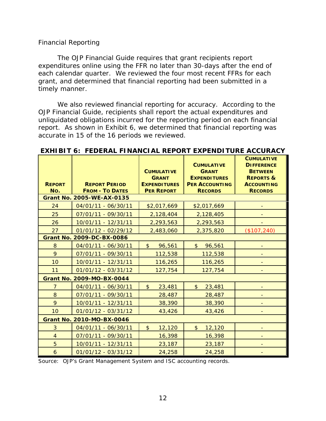### <span id="page-17-0"></span>*Financial Reporting*

The *OJP Financial Guide* requires that grant recipients report expenditures online using the FFR no later than 30-days after the end of each calendar quarter. We reviewed the four most recent FFRs for each grant, and determined that financial reporting had been submitted in a timely manner.

We also reviewed financial reporting for accuracy. According to the *OJP Financial Guide*, recipients shall report the actual expenditures and unliquidated obligations incurred for the reporting period on each financial report. As shown in Exhibit 6, we determined that financial reporting was accurate in 15 of the 16 periods we reviewed.

| <b>REPORT</b><br>No. | <b>REPORT PERIOD</b><br><b>FROM - TO DATES</b> | <b>CUMULATIVE</b><br><b>GRANT</b><br><b>EXPENDITURES</b><br><b>PER REPORT</b> | <b>CUMULATIVE</b><br><b>GRANT</b><br><b>EXPENDITURES</b><br><b>PER ACCOUNTING</b><br><b>RECORDS</b> | <b>CUMULATIVE</b><br><b>DIFFERENCE</b><br><b>BETWEEN</b><br><b>REPORTS &amp;</b><br><b>ACCOUNTING</b><br><b>RECORDS</b> |
|----------------------|------------------------------------------------|-------------------------------------------------------------------------------|-----------------------------------------------------------------------------------------------------|-------------------------------------------------------------------------------------------------------------------------|
|                      | Grant No. 2005-WE-AX-0135                      |                                                                               |                                                                                                     |                                                                                                                         |
| 24                   | 04/01/11 - 06/30/11                            | \$2,017,669                                                                   | \$2,017,669                                                                                         |                                                                                                                         |
| 25                   | 07/01/11 - 09/30/11                            | 2,128,404                                                                     | 2,128,405                                                                                           |                                                                                                                         |
| 26                   | 10/01/11 - 12/31/11                            | 2,293,563                                                                     | 2,293,563                                                                                           |                                                                                                                         |
| 27                   | $01/01/12 - 02/29/12$                          | 2,483,060                                                                     | 2,375,820                                                                                           | (\$107, 240)                                                                                                            |
|                      | Grant No. 2009-DC-BX-0086                      |                                                                               |                                                                                                     |                                                                                                                         |
| 8                    | 04/01/11 - 06/30/11                            | \$<br>96,561                                                                  | $\frac{1}{2}$<br>96,561                                                                             | $\overline{\phantom{a}}$                                                                                                |
| 9                    | 07/01/11 - 09/30/11                            | 112,538                                                                       | 112,538                                                                                             | -                                                                                                                       |
| 10                   | 10/01/11 - 12/31/11                            | 116,265                                                                       | 116,265                                                                                             |                                                                                                                         |
| 11                   | 01/01/12 - 03/31/12                            | 127,754                                                                       | 127,754                                                                                             |                                                                                                                         |
|                      | Grant No. 2009-MO-BX-0044                      |                                                                               |                                                                                                     |                                                                                                                         |
| $\overline{7}$       | 04/01/11 - 06/30/11                            | $\mathfrak{D}$<br>23,481                                                      | $\mathfrak{S}$<br>23,481                                                                            |                                                                                                                         |
| 8                    | 07/01/11 - 09/30/11                            | 28,487                                                                        | 28,487                                                                                              |                                                                                                                         |
| 9                    | 10/01/11 - 12/31/11                            | 38,390                                                                        | 38,390                                                                                              |                                                                                                                         |
| 10                   | 01/01/12 - 03/31/12                            | 43,426                                                                        | 43,426                                                                                              |                                                                                                                         |
|                      | <b>Grant No. 2010-MO-BX-0046</b>               |                                                                               |                                                                                                     |                                                                                                                         |
| 3                    | 04/01/11 - 06/30/11                            | \$<br>12,120                                                                  | $\frac{1}{2}$<br>12,120                                                                             |                                                                                                                         |
| $\overline{4}$       | 07/01/11 - 09/30/11                            | 16,398                                                                        | 16,398                                                                                              |                                                                                                                         |
| 5                    | 10/01/11 - 12/31/11                            | 23,187                                                                        | 23,187                                                                                              |                                                                                                                         |
| 6                    | 01/01/12 - 03/31/12                            | 24,258                                                                        | 24,258                                                                                              |                                                                                                                         |

#### **EXHIBIT 6: FEDERAL FINANCIAL REPORT EXPENDITURE ACCURACY**

Source: OJP's Grant Management System and ISC accounting records.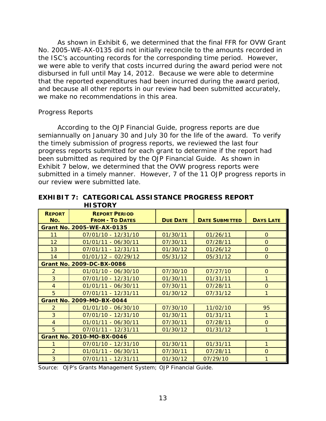As shown in Exhibit 6, we determined that the final FFR for OVW Grant No. 2005-WE-AX-0135 did not initially reconcile to the amounts recorded in the ISC's accounting records for the corresponding time period. However, we were able to verify that costs incurred during the award period were not disbursed in full until May 14, 2012. Because we were able to determine that the reported expenditures had been incurred during the award period, and because all other reports in our review had been submitted accurately, we make no recommendations in this area.

## <span id="page-18-0"></span>*Progress Reports*

According to the *OJP Financial Guide*, progress reports are due semiannually on January 30 and July 30 for the life of the award. To verify the timely submission of progress reports, we reviewed the last four progress reports submitted for each grant to determine if the report had been submitted as required by the *OJP Financial Guide*. As shown in Exhibit 7 below, we determined that the OVW progress reports were submitted in a timely manner. However, 7 of the 11 OJP progress reports in our review were submitted late.

| <b>REPORT</b><br>No.             | <b>REPORT PERIOD</b><br><b>FROM - TO DATES</b> | <b>DUE DATE</b> | <b>DATE SUBMITTED</b> | <b>DAYS LATE</b> |
|----------------------------------|------------------------------------------------|-----------------|-----------------------|------------------|
|                                  | <b>Grant No. 2005-WE-AX-0135</b>               |                 |                       |                  |
| 11                               | 07/01/10 - 12/31/10                            | 01/30/11        | 01/26/11              | $\Omega$         |
| 12                               | $01/01/11 - 06/30/11$                          | 07/30/11        | 07/28/11              | $\Omega$         |
| 13                               | 07/01/11 - 12/31/11                            | 01/30/12        | 01/26/12              | $\Omega$         |
| 14                               | $01/01/12 - 02/29/12$                          | 05/31/12        | 05/31/12              | $\Omega$         |
|                                  | <b>Grant No. 2009-DC-BX-0086</b>               |                 |                       |                  |
| $\overline{2}$                   | $01/01/10 - 06/30/10$                          | 07/30/10        | 07/27/10              | $\Omega$         |
| $\overline{3}$                   | $07/01/10 - 12/31/10$                          | 01/30/11        | 01/31/11              | 1                |
| $\overline{4}$                   | $01/01/11 - 06/30/11$                          | 07/30/11        | 07/28/11              | $\Omega$         |
| 5                                | 07/01/11 - 12/31/11                            | 01/30/12        | 07/31/12              | 1                |
|                                  | Grant No. 2009-MO-BX-0044                      |                 |                       |                  |
| 2                                | $01/01/10 - 06/30/10$                          | 07/30/10        | 11/02/10              | 95               |
| $\overline{3}$                   | 07/01/10 - 12/31/10                            | 01/30/11        | 01/31/11              | 1                |
| $\overline{4}$                   | $01/01/11 - 06/30/11$                          | 07/30/11        | 07/28/11              | $\Omega$         |
| 5                                | 07/01/11 - 12/31/11                            | 01/30/12        | 01/31/12              | 1                |
| <b>Grant No. 2010-MO-BX-0046</b> |                                                |                 |                       |                  |
| 1                                | 07/01/10 - 12/31/10                            | 01/30/11        | 01/31/11              | 1                |
| $\overline{2}$                   | $01/01/11 - 06/30/11$                          | 07/30/11        | 07/28/11              | $\Omega$         |
| 3                                | $07/01/11 - 12/31/11$                          | 01/30/12        | 07/29/10              | 1                |

#### **EXHIBIT 7: CATEGORICAL ASSISTANCE PROGRESS REPORT HISTORY**

Source: OJP's Grants Management System; *OJP Financial Guide*.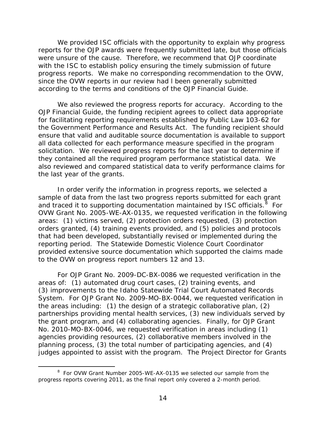We provided ISC officials with the opportunity to explain why progress reports for the OJP awards were frequently submitted late, but those officials were unsure of the cause. Therefore, we recommend that OJP coordinate with the ISC to establish policy ensuring the timely submission of future progress reports. We make no corresponding recommendation to the OVW, since the OVW reports in our review had l been generally submitted according to the terms and conditions of the *OJP Financial Guide*.

We also reviewed the progress reports for accuracy. According to the *OJP Financial Guide*, the funding recipient agrees to collect data appropriate for facilitating reporting requirements established by Public Law 103-62 for the *Government Performance and Results Act*. The funding recipient should ensure that valid and auditable source documentation is available to support all data collected for each performance measure specified in the program solicitation. We reviewed progress reports for the last year to determine if they contained all the required program performance statistical data. We also reviewed and compared statistical data to verify performance claims for the last year of the grants.

In order verify the information in progress reports, we selected a sample of data from the last two progress reports submitted for each grant and traced it to supporting documentation maintained by ISC officials.  $8\,$  $8\,$  For OVW Grant No. 2005-WE-AX-0135, we requested verification in the following areas: (1) victims served, (2) protection orders requested, (3) protection orders granted, (4) training events provided, and (5) policies and protocols that had been developed, substantially revised or implemented during the reporting period. The Statewide Domestic Violence Court Coordinator provided extensive source documentation which supported the claims made to the OVW on progress report numbers 12 and 13.

For OJP Grant No. 2009-DC-BX-0086 we requested verification in the areas of: (1) automated drug court cases, (2) training events, and (3) improvements to the Idaho Statewide Trial Court Automated Records System. For OJP Grant No. 2009-MO-BX-0044, we requested verification in the areas including: (1) the design of a strategic collaborative plan, (2) partnerships providing mental health services, (3) new individuals served by the grant program, and (4) collaborating agencies. Finally, for OJP Grant No. 2010-MO-BX-0046, we requested verification in areas including (1) agencies providing resources, (2) collaborative members involved in the planning process, (3) the total number of participating agencies, and (4) judges appointed to assist with the program. The Project Director for Grants

<span id="page-19-0"></span> <sup>8</sup> <sup>8</sup> For OVW Grant Number 2005-WE-AX-0135 we selected our sample from the progress reports covering 2011, as the final report only covered a 2-month period.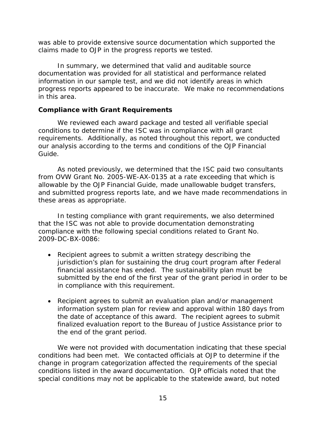was able to provide extensive source documentation which supported the claims made to OJP in the progress reports we tested.

In summary, we determined that valid and auditable source documentation was provided for all statistical and performance related information in our sample test, and we did not identify areas in which progress reports appeared to be inaccurate. We make no recommendations in this area.

# <span id="page-20-0"></span>**Compliance with Grant Requirements**

We reviewed each award package and tested all verifiable special conditions to determine if the ISC was in compliance with all grant requirements. Additionally, as noted throughout this report, we conducted our analysis according to the terms and conditions of the *OJP Financial Guide*.

As noted previously, we determined that the ISC paid two consultants from OVW Grant No. 2005-WE-AX-0135 at a rate exceeding that which is allowable by the *OJP Financial Guide*, made unallowable budget transfers, and submitted progress reports late, and we have made recommendations in these areas as appropriate.

In testing compliance with grant requirements, we also determined that the ISC was not able to provide documentation demonstrating compliance with the following special conditions related to Grant No. 2009-DC-BX-0086:

- Recipient agrees to submit a written strategy describing the jurisdiction's plan for sustaining the drug court program after Federal financial assistance has ended. The sustainability plan must be submitted by the end of the first year of the grant period in order to be in compliance with this requirement.
- Recipient agrees to submit an evaluation plan and/or management information system plan for review and approval within 180 days from the date of acceptance of this award. The recipient agrees to submit finalized evaluation report to the Bureau of Justice Assistance prior to the end of the grant period.

We were not provided with documentation indicating that these special conditions had been met. We contacted officials at OJP to determine if the change in program categorization affected the requirements of the special conditions listed in the award documentation. OJP officials noted that the special conditions may not be applicable to the statewide award, but noted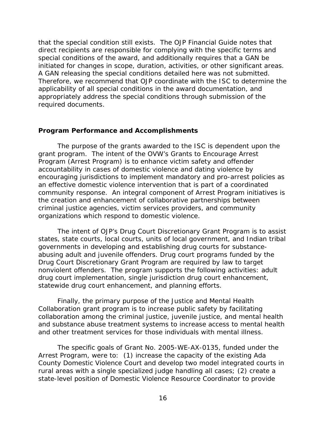that the special condition still exists. The *OJP Financial Guide* notes that direct recipients are responsible for complying with the specific terms and special conditions of the award, and additionally requires that a GAN be initiated for changes in scope, duration, activities, or other significant areas. A GAN releasing the special conditions detailed here was not submitted. Therefore, we recommend that OJP coordinate with the ISC to determine the applicability of all special conditions in the award documentation, and appropriately address the special conditions through submission of the required documents.

## <span id="page-21-0"></span>**Program Performance and Accomplishments**

The purpose of the grants awarded to the ISC is dependent upon the grant program. The intent of the OVW's Grants to Encourage Arrest Program (Arrest Program) is to enhance victim safety and offender accountability in cases of domestic violence and dating violence by encouraging jurisdictions to implement mandatory and pro-arrest policies as an effective domestic violence intervention that is part of a coordinated community response. An integral component of Arrest Program initiatives is the creation and enhancement of collaborative partnerships between criminal justice agencies, victim services providers, and community organizations which respond to domestic violence.

The intent of OJP's Drug Court Discretionary Grant Program is to assist states, state courts, local courts, units of local government, and Indian tribal governments in developing and establishing drug courts for substanceabusing adult and juvenile offenders. Drug court programs funded by the Drug Court Discretionary Grant Program are required by law to target nonviolent offenders. The program supports the following activities: adult drug court implementation, single jurisdiction drug court enhancement, statewide drug court enhancement, and planning efforts.

Finally, the primary purpose of the Justice and Mental Health Collaboration grant program is to increase public safety by facilitating collaboration among the criminal justice, juvenile justice, and mental health and substance abuse treatment systems to increase access to mental health and other treatment services for those individuals with mental illness.

The specific goals of Grant No. 2005-WE-AX-0135, funded under the Arrest Program, were to: (1) increase the capacity of the existing Ada County Domestic Violence Court and develop two model integrated courts in rural areas with a single specialized judge handling all cases; (2) create a state-level position of Domestic Violence Resource Coordinator to provide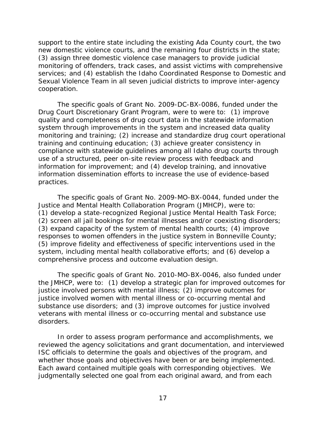support to the entire state including the existing Ada County court, the two new domestic violence courts, and the remaining four districts in the state; (3) assign three domestic violence case managers to provide judicial monitoring of offenders, track cases, and assist victims with comprehensive services; and (4) establish the Idaho Coordinated Response to Domestic and Sexual Violence Team in all seven judicial districts to improve inter-agency cooperation.

The specific goals of Grant No. 2009-DC-BX-0086, funded under the Drug Court Discretionary Grant Program, were to were to: (1) improve quality and completeness of drug court data in the statewide information system through improvements in the system and increased data quality monitoring and training; (2) increase and standardize drug court operational training and continuing education; (3) achieve greater consistency in compliance with statewide guidelines among all Idaho drug courts through use of a structured, peer on-site review process with feedback and information for improvement; and (4) develop training, and innovative information dissemination efforts to increase the use of evidence-based practices.

The specific goals of Grant No. 2009-MO-BX-0044, funded under the Justice and Mental Health Collaboration Program (JMHCP), were to: (1) develop a state-recognized Regional Justice Mental Health Task Force; (2) screen all jail bookings for mental illnesses and/or coexisting disorders; (3) expand capacity of the system of mental health courts; (4) improve responses to women offenders in the justice system in Bonneville County; (5) improve fidelity and effectiveness of specific interventions used in the system, including mental health collaborative efforts; and (6) develop a comprehensive process and outcome evaluation design.

The specific goals of Grant No. 2010-MO-BX-0046, also funded under the JMHCP, were to: (1) develop a strategic plan for improved outcomes for justice involved persons with mental illness; (2) improve outcomes for justice involved women with mental illness or co-occurring mental and substance use disorders; and (3) improve outcomes for justice involved veterans with mental illness or co-occurring mental and substance use disorders.

In order to assess program performance and accomplishments, we reviewed the agency solicitations and grant documentation, and interviewed ISC officials to determine the goals and objectives of the program, and whether those goals and objectives have been or are being implemented. Each award contained multiple goals with corresponding objectives. We judgmentally selected one goal from each original award, and from each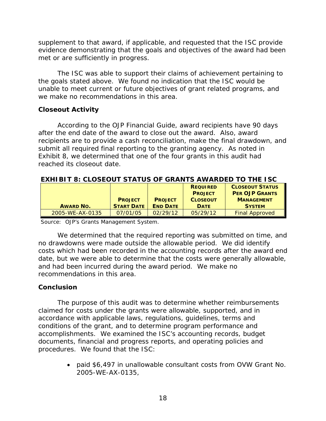supplement to that award, if applicable, and requested that the ISC provide evidence demonstrating that the goals and objectives of the award had been met or are sufficiently in progress.

The ISC was able to support their claims of achievement pertaining to the goals stated above. We found no indication that the ISC would be unable to meet current or future objectives of grant related programs, and we make no recommendations in this area.

# <span id="page-23-0"></span>**Closeout Activity**

According to the *OJP Financial Guide*, award recipients have 90 days after the end date of the award to close out the award. Also, award recipients are to provide a cash reconciliation, make the final drawdown, and submit all required final reporting to the granting agency. As noted in Exhibit 8, we determined that one of the four grants in this audit had reached its closeout date.

## **EXHIBIT 8: CLOSEOUT STATUS OF GRANTS AWARDED TO THE ISC**

|                  |                   |                 | <b>REQUIRED</b> | <b>CLOSEOUT STATUS</b> |
|------------------|-------------------|-----------------|-----------------|------------------------|
|                  |                   |                 | <b>PROJECT</b>  | <b>PER OJP GRANTS</b>  |
|                  | <b>PROJECT</b>    | <b>PROJECT</b>  | <b>CLOSEOUT</b> | <b>MANAGEMENT</b>      |
| <b>AWARD NO.</b> | <b>START DATE</b> | <b>END DATE</b> | <b>DATE</b>     | <b>SYSTEM</b>          |
| 2005-WE-AX-0135  | 07/01/05          | 02/29/12        | 05/29/12        | <b>Final Approved</b>  |

Source: OJP's Grants Management System.

We determined that the required reporting was submitted on time, and no drawdowns were made outside the allowable period. We did identify costs which had been recorded in the accounting records after the award end date, but we were able to determine that the costs were generally allowable, and had been incurred during the award period. We make no recommendations in this area.

# <span id="page-23-1"></span>**Conclusion**

The purpose of this audit was to determine whether reimbursements claimed for costs under the grants were allowable, supported, and in accordance with applicable laws, regulations, guidelines, terms and conditions of the grant, and to determine program performance and accomplishments. We examined the ISC's accounting records, budget documents, financial and progress reports, and operating policies and procedures. We found that the ISC:

> • paid \$6,497 in unallowable consultant costs from OVW Grant No. 2005-WE-AX-0135,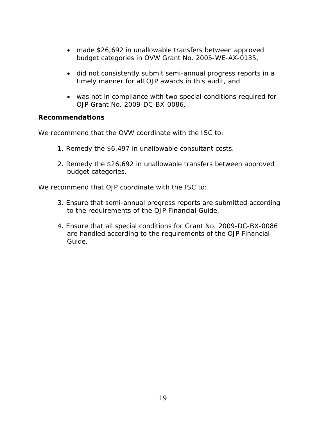- made \$26,692 in unallowable transfers between approved budget categories in OVW Grant No. 2005-WE-AX-0135,
- did not consistently submit semi-annual progress reports in a timely manner for all OJP awards in this audit, and
- was not in compliance with two special conditions required for OJP Grant No. 2009-DC-BX-0086.

# <span id="page-24-0"></span>**Recommendations**

We recommend that the OVW coordinate with the ISC to:

- 1. Remedy the \$6,497 in unallowable consultant costs.
- 2. Remedy the \$26,692 in unallowable transfers between approved budget categories.

We recommend that OJP coordinate with the ISC to:

- 3. Ensure that semi-annual progress reports are submitted according to the requirements of the *OJP Financial Guide*.
- 4. Ensure that all special conditions for Grant No. 2009-DC-BX-0086 are handled according to the requirements of the *OJP Financial Guide*.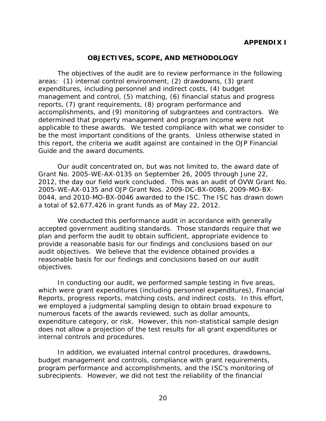### **OBJECTIVES, SCOPE, AND METHODOLOGY**

<span id="page-25-0"></span>The objectives of the audit are to review performance in the following areas: (1) internal control environment, (2) drawdowns, (3) grant expenditures, including personnel and indirect costs, (4) budget management and control, (5) matching, (6) financial status and progress reports, (7) grant requirements, (8) program performance and accomplishments, and (9) monitoring of subgrantees and contractors. We determined that property management and program income were not applicable to these awards. We tested compliance with what we consider to be the most important conditions of the grants. Unless otherwise stated in this report, the criteria we audit against are contained in the *OJP Financial Guide* and the award documents.

Our audit concentrated on, but was not limited to, the award date of Grant No. 2005-WE-AX-0135 on September 26, 2005 through June 22, 2012, the day our field work concluded. This was an audit of OVW Grant No. 2005-WE-AX-0135 and OJP Grant Nos. 2009-DC-BX-0086, 2009-MO-BX-0044, and 2010-MO-BX-0046 awarded to the ISC. The ISC has drawn down a total of \$2,677,426 in grant funds as of May 22, 2012.

We conducted this performance audit in accordance with generally accepted government auditing standards. Those standards require that we plan and perform the audit to obtain sufficient, appropriate evidence to provide a reasonable basis for our findings and conclusions based on our audit objectives. We believe that the evidence obtained provides a reasonable basis for our findings and conclusions based on our audit objectives.

In conducting our audit, we performed sample testing in five areas, which were grant expenditures (including personnel expenditures), Financial Reports, progress reports, matching costs, and indirect costs. In this effort, we employed a judgmental sampling design to obtain broad exposure to numerous facets of the awards reviewed, such as dollar amounts, expenditure category, or risk. However, this non-statistical sample design does not allow a projection of the test results for all grant expenditures or internal controls and procedures.

In addition, we evaluated internal control procedures, drawdowns, budget management and controls, compliance with grant requirements, program performance and accomplishments, and the ISC's monitoring of subrecipients. However, we did not test the reliability of the financial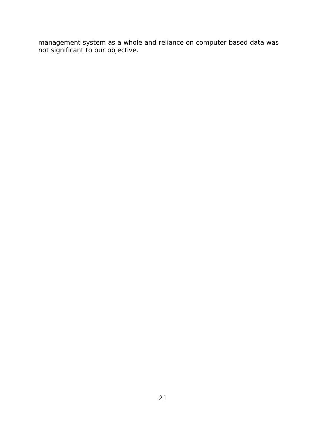management system as a whole and reliance on computer based data was not significant to our objective.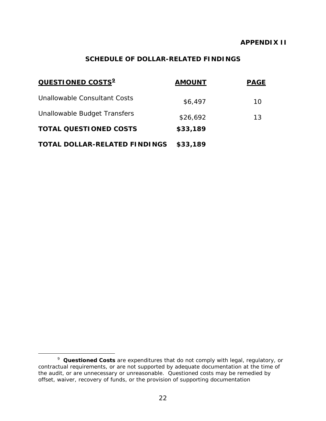### **APPENDIX II**

# **SCHEDULE OF DOLLAR-RELATED FINDINGS**

<span id="page-27-0"></span>

| QUESTIONED COSTS <sup>2</sup>        | <b>AMOUNT</b> | <b>PAGE</b> |
|--------------------------------------|---------------|-------------|
| Unallowable Consultant Costs         | \$6,497       | 10          |
| Unallowable Budget Transfers         | \$26,692      | 13          |
| <b>TOTAL QUESTIONED COSTS</b>        | \$33,189      |             |
| <b>TOTAL DOLLAR-RELATED FINDINGS</b> | \$33,189      |             |

<span id="page-27-1"></span> $\frac{1}{9}$  *Questioned Costs* are expenditures that do not comply with legal, regulatory, or contractual requirements, or are not supported by adequate documentation at the time of the audit, or are unnecessary or unreasonable. Questioned costs may be remedied by offset, waiver, recovery of funds, or the provision of supporting documentation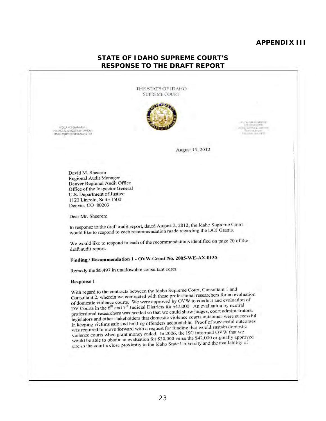#### **APPENDIX III**

#### **STATE OF IDAHO SUPREME COURT'S RESPONSE TO THE DRAFT REPORT**

THE STATE OF IDAHO SUPREME COURT



**ROLAND GAMMILL** """""CIAl E>:EC<JTM OF!'IC£~ ','~"""," OI """,""."'"  $\begin{array}{ll} \multicolumn{1}{l}{{\small\textrm{A}}{\small\textrm{H}}\parallel\mathbf{W}\parallel\mathbf{W}\parallel\mathbf{S}}\equiv\textbf{M}\textbf{B}\textbf{E}\textbf{H}}\\ \multicolumn{1}{l}{\small\textrm{A}}{\small\textrm{H}}&\multicolumn{1}{l}{\small\textrm{A}}{\small\textrm{H}}\\ \multicolumn{1}{l}{\small\textrm{A}}{\small\textrm{H}}&\multicolumn{1}{l}{\small\textrm{A}}{\small\textrm{H}}\end{array}$ I" (1995)<br>10 - 110 - 111 - 111 - 111 - 111 - 111 - 111 - 111 - 111 - 111 - 111 - 111 - 111 - 111 - 111 - 111 - 111 - 11 F.O. (1991). (in A-1197).

August 15,2012

David M. Shecren Regional Audit Manager Denver Regional Audit Office Office of the Inspector General U.S. Department of Justice 1120 Lincoln, Suite 1500 Denver. CO 80203

Dear Mr. Sheeren:

In response to the draft audit report, dated August 2, 2012, the Idaho Supreme Court would like to respond to each recommendation made regarding the DOJ Grants.

We would like to respond to each of the recommendations identified on page 20 of the draft audit report.

# Finding / Recommendation 1 - OVW Grant No. 2005-WE-AX-0135

Remedy the \$6,497 in unallowable consultant costs.

#### Response I

With regard to the contracts between the Idaho Supreme Court. Consultant I and Consullant 2. wherein we contracted with these professional rescarchers for an evaluation of domestic violence courts. We were approved by OVW 10 conduct and evaluation of DV Courts in the 6<sup>th</sup> and 7<sup>th</sup> Judicial Districts for \$42,000. An evaluation by neutral professional researchers was needed so that we could show judges, court administrators. legislators and other stakeholders that domestic violence courts outcomes were successful in keeping victims safe and holding offenders accountable. Proof of successful outcomes was required to move forward wilh a request for funding that would sustain domestic violence courts when grant money ended. In 2006, the ISC informed OVW that we would be able to obtain an evaluation for \$30,000 verse the \$42,000 originally approved (I.l":' , ) ' he court's dose proximity 10 the Idaho State University and the availabilily of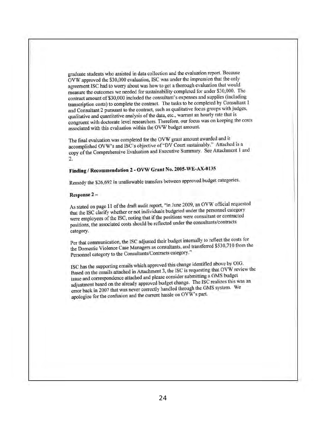graduate students who assisted in data collection and the evaluation report. Because OVW approved the \$30,000 evaluation, ISC was under the impression that the only agreement ISC had to worry about was how 10 gel a thorough evaluation Ihat would measure the outcomes we needed for sustainability completed for under \$30,000. The contract amount of\$30,000 included the consultant's expenses and supplies (including transcription costs) to complete thc contract. The tasks to be completed by Consultant I and Consultant 2 pursuant to the contract, such as qualitative focus groups with judges, qualitative and quantitative analysis of the data, etc., warrant an hourly ratc that is congruent with doctorate level researchers. Therefore, our focus was on keeping the costs associated with this evaluation within the OVW budget amount.

The final evaluation was completed for the OVW grant amount awarded and it accomplished OVW's and ISC's objective of"DV Court sustainably." Attached is a copy of the Comprehensive Evaluation and Executive Summary. See Attachment I and 2.

# Finding I Recommendation 2 - OVW Grant No. 2005-WE-AX-0I35

Remedy the \$26,692 in unallowable transfers between approved budget categories.

#### Response 2-

As stated on page 11 of the draft audit report, "in June 2009, an OVW official requested that the ISC clarify whether or nol individuals budgeted under the personnel category were employees of the ISC, noting that if the positions were consultant or contracted positions. the associated costs should be reflected under the consultants/contracts category.

Per that communication, the ISC adjusted their budget internally to reflect the costs for the Domestic Violence Case Managers as consultants, and transferred \$530,710 from the Personnel category to the Consultants/Contracts category."

ISC has the supporting emails which approved this change identified abovc by 010. Based on the emails attached in Attachment 3, the ISC is requesting that OVW review thc issue and correspondence attached and please consider submitting a OMS budget adjustment based on the already approved budget change. The ISC realizes this was an error back in 2007 that was never correctly handled through the OMS system. We apologize for the confusion and the current hassle on OVW's part.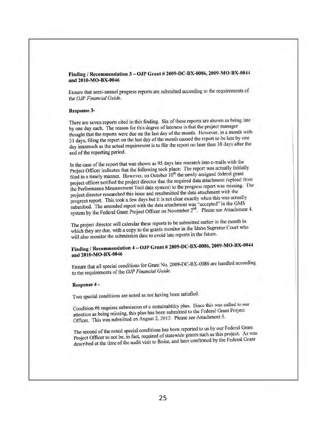#### Finding / Recommendation 3 - OJP Grant # 2009-DC-BX-0086, 2009-MO-BX-0044 and 2010-MO-BX-0046

Ensure that semi-annual progress reports are submitted according to the requirements of the *OJP Financial Guide.* 

#### Response 3-

There are seven reports cited in this finding. Six of these repons arc shown as being late by one day each. The reason for this degree of lateness is that the project manager thought that the reports were due on the last day of the month. However, in a month with 31 days, filing the report on the last day of the month caused the report to be late by one day inasmuch as the actual requirement is to file the report no later than 30 days after the end of the reporting period.

In the case of the report that was shown as 95 days late research into e-mails with the Project Officer indicates that the following took place: The report was actually initially filed in a timely manner. However, on October  $10<sup>th</sup>$  the newly assigned federal grant project officer notified the project director that the required data attachment (upload from the Performance Measurement Tool data system) to the progress report was missing. The project director researched this issue and resubmitted the data attachment with the progress report. This look a few days but it is not dear exactly when this was actually submitted. The amended report with the data attachment was "accepted" in the GMS system by the Federal Grant Project Officer on November  $2<sup>nd</sup>$ . Please see Attachment 4.

The project director will calendar these reports to be submitted earlier in the month in which they are due, with a copy to the grants monitor in the Idaho Supreme Court who will also monitor the submission date to avoid late reports in the future.

# Finding / Recommendation  $4 -$  OJP Grant # 2009-DC-BX-0086, 2009-MO-BX-0044 and 2010-MO-BX-0046

Ensure that all special conditions for Grant No. 2009-DC-BX-0086 are handled according to the requirements of the *OJP Financial Guide.* 

I

#### Response 4-

Two special conditions are noted as not having been satisfied.

Condition #6 requires submission of a sustainability plan. Since this was called to our attention as being missing, this plan has becn submitted to the Federal Grant Project Officer. This was submitted on August 2, 2012. Please see Attachment 5.

The second of the noted special conditions has been reported to us by our Federal Grant Project Officer to not be, in fact, required of statewide grants such as this project. As was described at the time of the audit visit to Boise, and later confirmed by the Federal Grant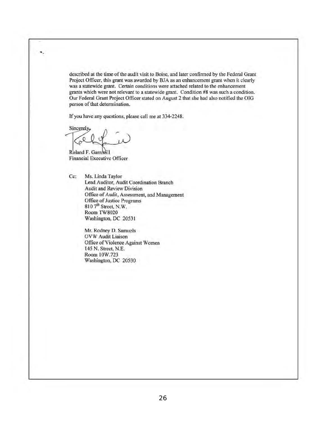described at the time of the audit visit to Boise, and later confirmed by the Federal Grant Project Officer, this grant was awarded by BJA as an enhancement grant when it clearly was a statewide grant. Certain conditions were attached related to the enhancement grants which were not relevant to a statewide grant. Condition #8 was such a condition. Our Federal Grant Project Officer stated on August 2 that she had also notified the OIG person of that determination.

If you have any questions, please call me at 334-2248.

Sincerely Joel chance

Roland F. Gammill Financial Executive Officer

Cc: Ms. Linda Taylor Lead Auditor, Audit Coordination Branch Audit and Review Division Office of Audit, Assessment, and Management Office of Justice Programs  $810$   $7<sup>th</sup>$  Street, N.W. Room TW8020 Washington, DC 20531

> Mr. Rodney D. Samuels OVW Audit Liaison Office of Violence Against Women 145 N. Street, N.E. Room IOW.723 Washington, DC 20530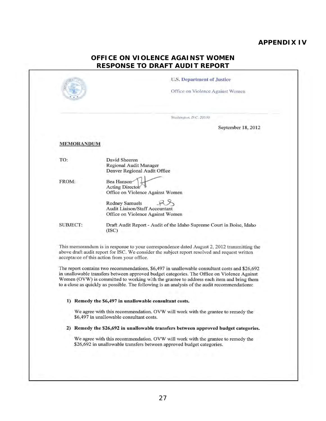# **APPENDIX IV**

# **OFFICE ON VIOLENCE AGAINST WOMEN RESPONSE TO DRAFT AUDIT REPORT**

|                   | Washington, D.C. 20530<br>September 18, 2012                                                                                                                                                                                                                                                                                                 |
|-------------------|----------------------------------------------------------------------------------------------------------------------------------------------------------------------------------------------------------------------------------------------------------------------------------------------------------------------------------------------|
| <b>MEMORANDUM</b> |                                                                                                                                                                                                                                                                                                                                              |
| TO:               | David Sheeren<br>Regional Audit Manager<br>Denver Regional Audit Office                                                                                                                                                                                                                                                                      |
| FROM:             | Bea Hanson<br>Acting Director<br>Office on Violence Against Women                                                                                                                                                                                                                                                                            |
|                   | Rodney Samuels<br><b>Audit Liaison/Staff Accountant</b><br>Office on Violence Against Women                                                                                                                                                                                                                                                  |
| <b>SUBJECT:</b>   | Draft Audit Report - Audit of the Idaho Supreme Court in Boise, Idaho<br>(ISC)                                                                                                                                                                                                                                                               |
|                   | This memorandum is in response to your correspondence dated August 2, 2012 transmitting the<br>above draft audit report for ISC. We consider the subject report resolved and request written<br>acceptance of this action from your office.<br>The report contains two recommendations, \$6,497 in unallowable consultant costs and \$26,692 |
|                   | in unallowable transfers between approved budget categories. The Office on Violence Against<br>Women (OVW) is committed to working with the grantee to address each item and bring them<br>to a close as quickly as possible. The following is an analysis of the audit recommendations:                                                     |
|                   | 1) Remedy the \$6,497 in unallowable consultant costs.                                                                                                                                                                                                                                                                                       |
|                   | We agree with this recommendation. OVW will work with the grantee to remedy the<br>\$6,497 in unallowable consultant costs.                                                                                                                                                                                                                  |
|                   | 2) Remedy the \$26,692 in unallowable transfers between approved budget categories.                                                                                                                                                                                                                                                          |
|                   |                                                                                                                                                                                                                                                                                                                                              |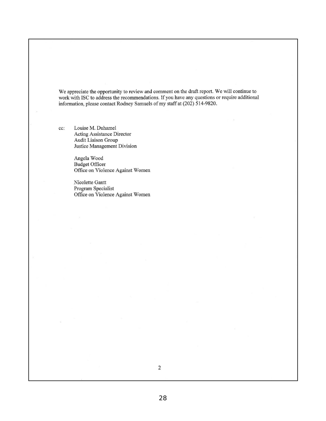We appreciate the opportunity to review and comment on the draft report. We will continue to work with ISC to address the recommendations. If you have any questions or require additional information, please contact Rodney Samuels of my staff at (202) 514-9820.

cc: Louise M. Duhamel Acting Assistance Director Audit Liaison Group Justice Management Division

> Angela Wood Budget Officer Office on Violence Against Women

> Nicolette Gantt Program Specialist Office on Violence Against Women

28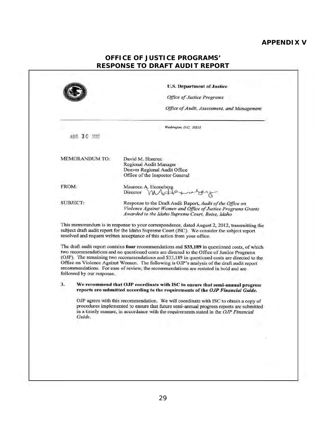# **APPENDIX V**

| <b>OFFICE OF JUSTICE PROGRAMS'</b> |
|------------------------------------|
| RESPONSE TO DRAFT AUDIT REPORT     |

|                           | <b>U.S. Department of Justice</b><br><b>Office of Justice Programs</b>                                                                                                                                                                                                                                                                                                                                                                                                                 |  |
|---------------------------|----------------------------------------------------------------------------------------------------------------------------------------------------------------------------------------------------------------------------------------------------------------------------------------------------------------------------------------------------------------------------------------------------------------------------------------------------------------------------------------|--|
|                           | Office of Audit, Assessment, and Management                                                                                                                                                                                                                                                                                                                                                                                                                                            |  |
|                           | Washington, D.C. 20531                                                                                                                                                                                                                                                                                                                                                                                                                                                                 |  |
| AUG 30 2012               |                                                                                                                                                                                                                                                                                                                                                                                                                                                                                        |  |
| <b>MEMORANDUM TO:</b>     | David M. Sheeren<br>Regional Audit Manager<br>Denver Regional Audit Office<br>Office of the Inspector General                                                                                                                                                                                                                                                                                                                                                                          |  |
| FROM:                     | Maureen A. Henneberg<br>Director<br>Mode                                                                                                                                                                                                                                                                                                                                                                                                                                               |  |
| <b>SUBJECT:</b>           | Response to the Draft Audit Report, Audit of the Office on<br>Violence Against Women and Office of Justice Programs Grants<br>Awarded to the Idaho Supreme Court, Boise, Idaho                                                                                                                                                                                                                                                                                                         |  |
|                           | This memorandum is in response to your correspondence, dated August 2, 2012, transmitting the<br>subject draft audit report for the Idaho Supreme Court (ISC). We consider the subject report<br>resolved and request written acceptance of this action from your office.                                                                                                                                                                                                              |  |
| followed by our response. | The draft audit report contains four recommendations and \$33,189 in questioned costs, of which<br>two recommendations and no questioned costs are directed to the Office of Justice Programs<br>(OJP). The remaining two recommendations and \$33,189 in questioned costs are directed to the<br>Office on Violence Against Women. The following is OJP's analysis of the draft audit report<br>recommendations. For ease of review, the recommendations are restated in bold and are |  |
| 3.                        | We recommend that OJP coordinate with ISC to ensure that semi-annual progress<br>reports are submitted according to the requirements of the OJP Financial Guide.                                                                                                                                                                                                                                                                                                                       |  |
| Guide.                    | OJP agrees with this recommendation. We will coordinate with ISC to obtain a copy of<br>procedures implemented to ensure that future semi-annual progress reports are submitted<br>in a timely manner, in accordance with the requirements stated in the OJP Financial                                                                                                                                                                                                                 |  |
|                           |                                                                                                                                                                                                                                                                                                                                                                                                                                                                                        |  |
|                           |                                                                                                                                                                                                                                                                                                                                                                                                                                                                                        |  |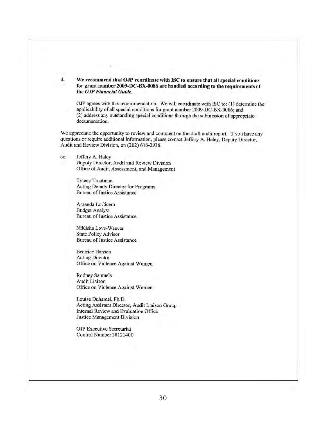4. We recommend that OJP coordinate with ISC to ensure that all special conditions for grant number 2009-DC-BX-0086 are handled according to the requirements of the *OJP Financial Guide.* 

OJP agrees with this recommendation. We will coordinate with ISC to: (1) determine the applicability of all special conditions for grant number 2009-DC-BX-0086; and (2) address any outstanding special conditions through the submission of appropriate documentation.

We appreciate the opportunity to review and comment on the draft audit report. If you have any questions or require additional infonnation, please contact Jeffery A. Haley, Deputy Director, Audit and Review Division, on (202) 616-2936.

cc: Jeffery A. Haley Deputy Director, Audit and Review Division Office of Audit, Assessment, and Management

> Tracey Trautman Acting Deputy Director for Programs Bureau of Justice Assistance

Amanda LoCicero Budget Analyst Bureau of Justice Assistance

NiKisha Love-Weaver State Policy Advisor Bureau of Justicc Assistance

Beatrice Hanson Acting Director Office on Violence Against Women

Rodney Samuels Audit Liaison Office on Violence Against Women

Louise Duhamel, Ph.D. Acting Assistant Director, Audit Liaison Group Internal Review and Evaluation Officc Justice Management Division

OJP Executive Secretariat Control Number 20121400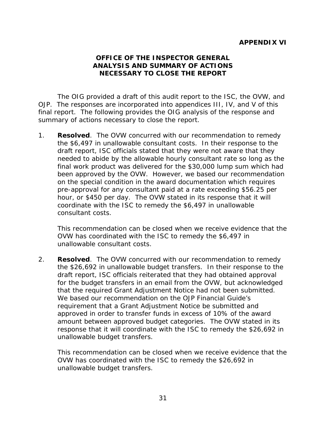# **OFFICE OF THE INSPECTOR GENERAL ANALYSIS AND SUMMARY OF ACTIONS NECESSARY TO CLOSE THE REPORT**

<span id="page-36-2"></span><span id="page-36-1"></span><span id="page-36-0"></span>The OIG provided a draft of this audit report to the ISC, the OVW, and OJP. The responses are incorporated into appendices III, IV, and V of this final report. The following provides the OIG analysis of the response and summary of actions necessary to close the report.

1. **Resolved**. The OVW concurred with our recommendation to remedy the \$6,497 in unallowable consultant costs. In their response to the draft report, ISC officials stated that they were not aware that they needed to abide by the allowable hourly consultant rate so long as the final work product was delivered for the \$30,000 lump sum which had been approved by the OVW. However, we based our recommendation on the special condition in the award documentation which requires pre-approval for any consultant paid at a rate exceeding \$56.25 per hour, or \$450 per day. The OVW stated in its response that it will coordinate with the ISC to remedy the \$6,497 in unallowable consultant costs.

This recommendation can be closed when we receive evidence that the OVW has coordinated with the ISC to remedy the \$6,497 in unallowable consultant costs.

2. **Resolved**. The OVW concurred with our recommendation to remedy the \$26,692 in unallowable budget transfers. In their response to the draft report, ISC officials reiterated that they had obtained approval for the budget transfers in an email from the OVW, but acknowledged that the required Grant Adjustment Notice had not been submitted. We based our recommendation on the *OJP Financial Guide*'s requirement that a Grant Adjustment Notice be submitted and approved in order to transfer funds in excess of 10% of the award amount between approved budget categories. The OVW stated in its response that it will coordinate with the ISC to remedy the \$26,692 in unallowable budget transfers.

This recommendation can be closed when we receive evidence that the OVW has coordinated with the ISC to remedy the \$26,692 in unallowable budget transfers.